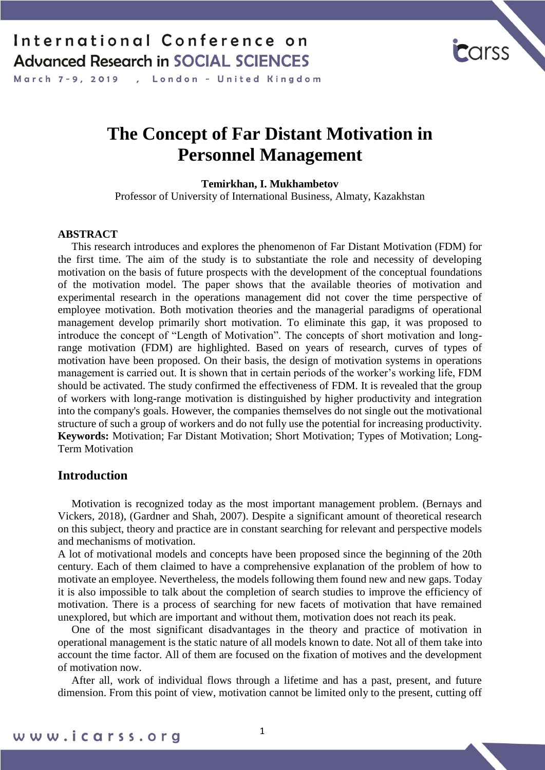March 7-9, 2019 , London - United Kingdom

# **The Concept of Far Distant Motivation in Personnel Management**

**Temirkhan, I. Mukhambetov**

Professor of University of International Business, Almaty, Kazakhstan

#### **ABSTRACT**

 This research introduces and explores the phenomenon of Far Distant Motivation (FDM) for the first time. The aim of the study is to substantiate the role and necessity of developing motivation on the basis of future prospects with the development of the conceptual foundations of the motivation model. The paper shows that the available theories of motivation and experimental research in the operations management did not cover the time perspective of employee motivation. Both motivation theories and the managerial paradigms of operational management develop primarily short motivation. To eliminate this gap, it was proposed to introduce the concept of "Length of Motivation". The concepts of short motivation and longrange motivation (FDM) are highlighted. Based on years of research, curves of types of motivation have been proposed. On their basis, the design of motivation systems in operations management is carried out. It is shown that in certain periods of the worker's working life, FDM should be activated. The study confirmed the effectiveness of FDM. It is revealed that the group of workers with long-range motivation is distinguished by higher productivity and integration into the company's goals. However, the companies themselves do not single out the motivational structure of such a group of workers and do not fully use the potential for increasing productivity. **Keywords:** Motivation; Far Distant Motivation; Short Motivation; Types of Motivation; Long-Term Motivation

### **Introduction**

 Motivation is recognized today as the most important management problem. (Bernays and Vickers, 2018), (Gardner and Shah, 2007). Despite a significant amount of theoretical research on this subject, theory and practice are in constant searching for relevant and perspective models and mechanisms of motivation.

A lot of motivational models and concepts have been proposed since the beginning of the 20th century. Each of them claimed to have a comprehensive explanation of the problem of how to motivate an employee. Nevertheless, the models following them found new and new gaps. Today it is also impossible to talk about the completion of search studies to improve the efficiency of motivation. There is a process of searching for new facets of motivation that have remained unexplored, but which are important and without them, motivation does not reach its peak.

 One of the most significant disadvantages in the theory and practice of motivation in operational management is the static nature of all models known to date. Not all of them take into account the time factor. All of them are focused on the fixation of motives and the development of motivation now.

 After all, work of individual flows through a lifetime and has a past, present, and future dimension. From this point of view, motivation cannot be limited only to the present, cutting off

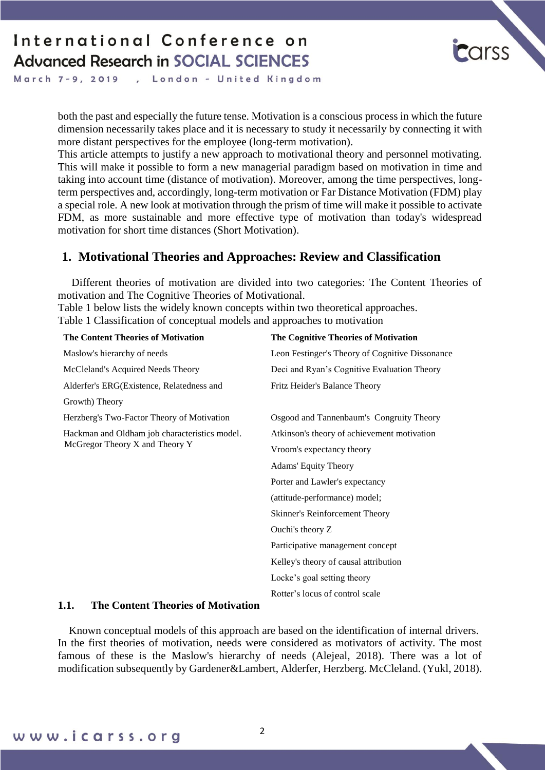

March 7-9, 2019 , London - United Kingdom

> both the past and especially the future tense. Motivation is a conscious process in which the future dimension necessarily takes place and it is necessary to study it necessarily by connecting it with more distant perspectives for the employee (long-term motivation).

> This article attempts to justify a new approach to motivational theory and personnel motivating. This will make it possible to form a new managerial paradigm based on motivation in time and taking into account time (distance of motivation). Moreover, among the time perspectives, longterm perspectives and, accordingly, long-term motivation or Far Distance Motivation (FDM) play a special role. A new look at motivation through the prism of time will make it possible to activate FDM, as more sustainable and more effective type of motivation than today's widespread motivation for short time distances (Short Motivation).

### **1. Motivational Theories and Approaches: Review and Classification**

 Different theories of motivation are divided into two categories: The Content Theories of motivation and The Cognitive Theories of Motivational.

Table 1 below lists the widely known concepts within two theoretical approaches. Table 1 Classification of conceptual models and approaches to motivation

| <b>The Content Theories of Motivation</b>                                       | The Cognitive Theories of Motivation            |
|---------------------------------------------------------------------------------|-------------------------------------------------|
| Maslow's hierarchy of needs                                                     | Leon Festinger's Theory of Cognitive Dissonance |
| McCleland's Acquired Needs Theory                                               | Deci and Ryan's Cognitive Evaluation Theory     |
| Alderfer's ERG(Existence, Relatedness and                                       | Fritz Heider's Balance Theory                   |
| Growth) Theory                                                                  |                                                 |
| Herzberg's Two-Factor Theory of Motivation                                      | Osgood and Tannenbaum's Congruity Theory        |
| Hackman and Oldham job characteristics model.<br>McGregor Theory X and Theory Y | Atkinson's theory of achievement motivation     |
|                                                                                 | Vroom's expectancy theory                       |
|                                                                                 | <b>Adams' Equity Theory</b>                     |
|                                                                                 | Porter and Lawler's expectancy                  |
|                                                                                 | (attitude-performance) model;                   |
|                                                                                 | Skinner's Reinforcement Theory                  |
|                                                                                 | Ouchi's theory Z                                |
|                                                                                 | Participative management concept                |
|                                                                                 | Kelley's theory of causal attribution           |
|                                                                                 | Locke's goal setting theory                     |
|                                                                                 | Rotter's locus of control scale                 |

#### **1.1. The Content Theories of Motivation**

 Known conceptual models of this approach are based on the identification of internal drivers. In the first theories of motivation, needs were considered as motivators of activity. The most famous of these is the Maslow's hierarchy of needs (Alejeal, 2018). There was a lot of modification subsequently by Gardener&Lambert, Alderfer, Herzberg. McCleland. (Yukl, 2018).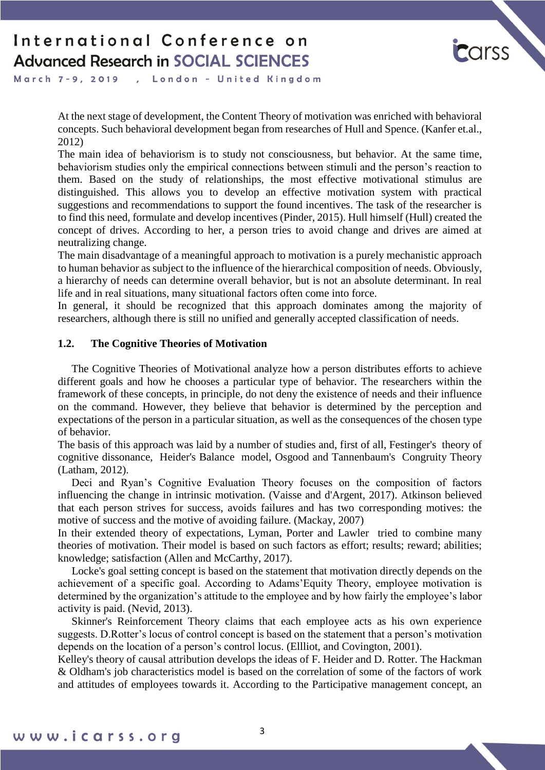

March 7-9, 2019 , London - United Kingdom

> At the next stage of development, the Content Theory of motivation was enriched with behavioral concepts. Such behavioral development began from researches of Hull and Spence. (Kanfer et.al., 2012)

> The main idea of behaviorism is to study not consciousness, but behavior. At the same time, behaviorism studies only the empirical connections between stimuli and the person's reaction to them. Based on the study of relationships, the most effective motivational stimulus are distinguished. This allows you to develop an effective motivation system with practical suggestions and recommendations to support the found incentives. The task of the researcher is to find this need, formulate and develop incentives (Pinder, 2015). Hull himself (Hull) created the concept of drives. According to her, a person tries to avoid change and drives are aimed at neutralizing change.

> The main disadvantage of a meaningful approach to motivation is a purely mechanistic approach to human behavior as subject to the influence of the hierarchical composition of needs. Obviously, a hierarchy of needs can determine overall behavior, but is not an absolute determinant. In real life and in real situations, many situational factors often come into force.

> In general, it should be recognized that this approach dominates among the majority of researchers, although there is still no unified and generally accepted classification of needs.

#### **1.2. The Cognitive Theories of Motivation**

 The Cognitive Theories of Motivational analyze how a person distributes efforts to achieve different goals and how he chooses a particular type of behavior. The researchers within the framework of these concepts, in principle, do not deny the existence of needs and their influence on the command. However, they believe that behavior is determined by the perception and expectations of the person in a particular situation, as well as the consequences of the chosen type of behavior.

The basis of this approach was laid by a number of studies and, first of all, Festinger's theory of cognitive dissonance, Heider's Balance model, Osgood and Tannenbaum's Congruity Theory (Latham, 2012).

 Deci and Ryan's Cognitive Evaluation Theory focuses on the composition of factors influencing the change in intrinsic motivation. (Vaisse and d'Argent, 2017). Atkinson believed that each person strives for success, avoids failures and has two corresponding motives: the motive of success and the motive of avoiding failure. (Mackay, 2007)

In their extended theory of expectations, Lyman, Porter and Lawler tried to combine many theories of motivation. Their model is based on such factors as effort; results; reward; abilities; knowledge; satisfaction (Allen and McCarthy, 2017).

 Locke's goal setting concept is based on the statement that motivation directly depends on the achievement of a specific goal. According to Adams'Equity Theory, employee motivation is determined by the organization's attitude to the employee and by how fairly the employee's labor activity is paid. (Nevid, 2013).

 Skinner's Reinforcement Theory claims that each employee acts as his own experience suggests. D.Rotter's locus of control concept is based on the statement that a person's motivation depends on the location of a person's control locus. (Ellliot, and Covington, 2001).

Kelley's theory of causal attribution develops the ideas of F. Heider and D. Rotter. The Hackman & Oldham's job characteristics model is based on the correlation of some of the factors of work and attitudes of employees towards it. According to the Participative management concept, an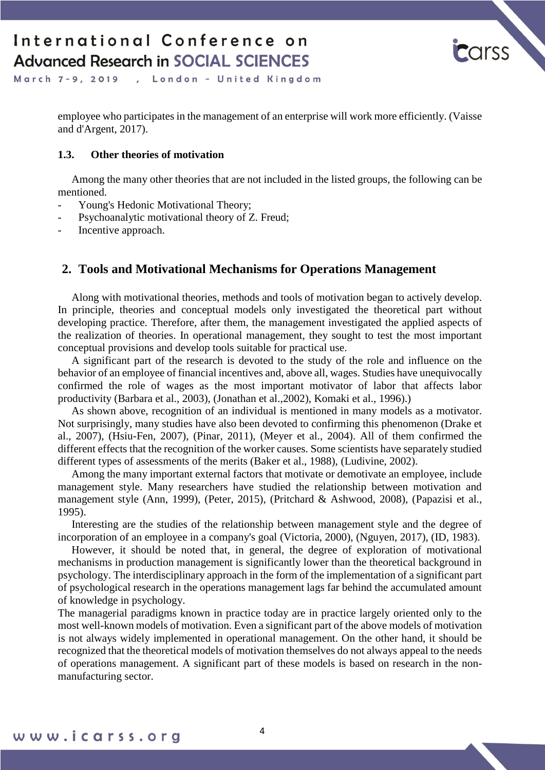

March 7-9, 2019 , London - United Kingdom

> employee who participates in the management of an enterprise will work more efficiently. (Vaisse and d'Argent, 2017).

#### **1.3. Other theories of motivation**

 Among the many other theories that are not included in the listed groups, the following can be mentioned.

- Young's Hedonic Motivational Theory;
- Psychoanalytic motivational theory of Z. Freud;
- Incentive approach.

### **2. Tools and Motivational Mechanisms for Operations Management**

 Along with motivational theories, methods and tools of motivation began to actively develop. In principle, theories and conceptual models only investigated the theoretical part without developing practice. Therefore, after them, the management investigated the applied aspects of the realization of theories. In operational management, they sought to test the most important conceptual provisions and develop tools suitable for practical use.

 A significant part of the research is devoted to the study of the role and influence on the behavior of an employee of financial incentives and, above all, wages. Studies have unequivocally confirmed the role of wages as the most important motivator of labor that affects labor productivity (Barbara et al., 2003), (Jonathan et al.,2002), Komaki et al., 1996).)

 As shown above, recognition of an individual is mentioned in many models as a motivator. Not surprisingly, many studies have also been devoted to confirming this phenomenon (Drake et al., 2007), (Hsiu-Fen, 2007), (Pinar, 2011), (Meyer et al., 2004). All of them confirmed the different effects that the recognition of the worker causes. Some scientists have separately studied different types of assessments of the merits (Baker et al., 1988), (Ludivine, 2002).

 Among the many important external factors that motivate or demotivate an employee, include management style. Many researchers have studied the relationship between motivation and management style (Ann, 1999), (Peter, 2015), (Pritchard & Ashwood, 2008), (Papazisi et al., 1995).

 Interesting are the studies of the relationship between management style and the degree of incorporation of an employee in a company's goal (Victoria, 2000), (Nguyen, 2017), (ID, 1983).

 However, it should be noted that, in general, the degree of exploration of motivational mechanisms in production management is significantly lower than the theoretical background in psychology. The interdisciplinary approach in the form of the implementation of a significant part of psychological research in the operations management lags far behind the accumulated amount of knowledge in psychology.

The managerial paradigms known in practice today are in practice largely oriented only to the most well-known models of motivation. Even a significant part of the above models of motivation is not always widely implemented in operational management. On the other hand, it should be recognized that the theoretical models of motivation themselves do not always appeal to the needs of operations management. A significant part of these models is based on research in the nonmanufacturing sector.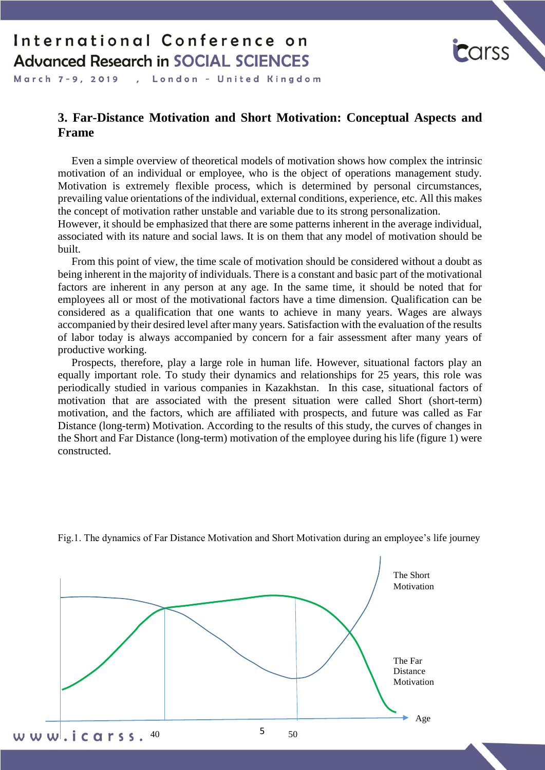

March 7-9, 2019 , London - United Kingdom

### **3. Far-Distance Motivation and Short Motivation: Conceptual Aspects and Frame**

 Even a simple overview of theoretical models of motivation shows how complex the intrinsic motivation of an individual or employee, who is the object of operations management study. Motivation is extremely flexible process, which is determined by personal circumstances, prevailing value orientations of the individual, external conditions, experience, etc. All this makes the concept of motivation rather unstable and variable due to its strong personalization.

However, it should be emphasized that there are some patterns inherent in the average individual, associated with its nature and social laws. It is on them that any model of motivation should be built.

 From this point of view, the time scale of motivation should be considered without a doubt as being inherent in the majority of individuals. There is a constant and basic part of the motivational factors are inherent in any person at any age. In the same time, it should be noted that for employees all or most of the motivational factors have a time dimension. Qualification can be considered as a qualification that one wants to achieve in many years. Wages are always accompanied by their desired level after many years. Satisfaction with the evaluation of the results of labor today is always accompanied by concern for a fair assessment after many years of productive working.

 Prospects, therefore, play a large role in human life. However, situational factors play an equally important role. To study their dynamics and relationships for 25 years, this role was periodically studied in various companies in Kazakhstan. In this case, situational factors of motivation that are associated with the present situation were called Short (short-term) motivation, and the factors, which are affiliated with prospects, and future was called as Far Distance (long-term) Motivation. According to the results of this study, the curves of changes in the Short and Far Distance (long-term) motivation of the employee during his life (figure 1) were constructed.



Fig.1. The dynamics of Far Distance Motivation and Short Motivation during an employee's life journey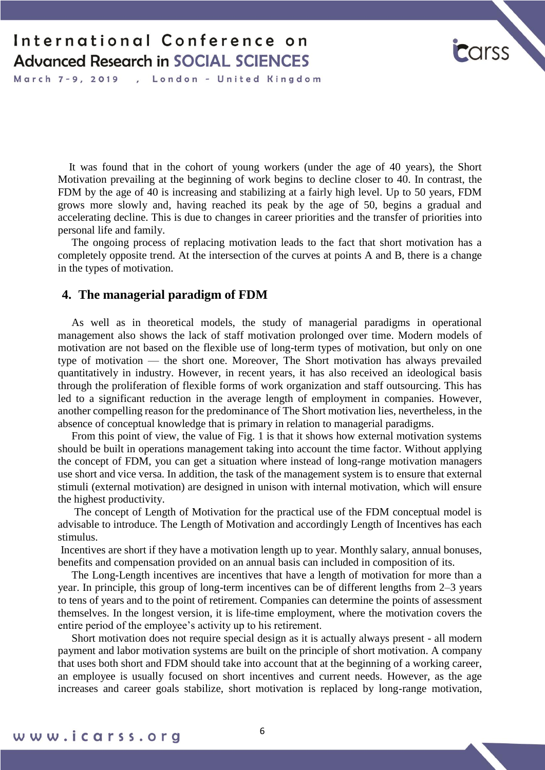

March 7-9, 2019, London - United Kingdom

 It was found that in the cohort of young workers (under the age of 40 years), the Short Motivation prevailing at the beginning of work begins to decline closer to 40. In contrast, the FDM by the age of 40 is increasing and stabilizing at a fairly high level. Up to 50 years, FDM grows more slowly and, having reached its peak by the age of 50, begins a gradual and accelerating decline. This is due to changes in career priorities and the transfer of priorities into personal life and family.

 The ongoing process of replacing motivation leads to the fact that short motivation has a completely opposite trend. At the intersection of the curves at points A and B, there is a change in the types of motivation.

#### **4. The managerial paradigm of FDM**

 As well as in theoretical models, the study of managerial paradigms in operational management also shows the lack of staff motivation prolonged over time. Modern models of motivation are not based on the flexible use of long-term types of motivation, but only on one type of motivation — the short one. Moreover, The Short motivation has always prevailed quantitatively in industry. However, in recent years, it has also received an ideological basis through the proliferation of flexible forms of work organization and staff outsourcing. This has led to a significant reduction in the average length of employment in companies. However, another compelling reason for the predominance of The Short motivation lies, nevertheless, in the absence of conceptual knowledge that is primary in relation to managerial paradigms.

 From this point of view, the value of Fig. 1 is that it shows how external motivation systems should be built in operations management taking into account the time factor. Without applying the concept of FDM, you can get a situation where instead of long-range motivation managers use short and vice versa. In addition, the task of the management system is to ensure that external stimuli (external motivation) are designed in unison with internal motivation, which will ensure the highest productivity.

 The concept of Length of Motivation for the practical use of the FDM conceptual model is advisable to introduce. The Length of Motivation and accordingly Length of Incentives has each stimulus.

Incentives are short if they have a motivation length up to year. Monthly salary, annual bonuses, benefits and compensation provided on an annual basis can included in composition of its.

 The Long-Length incentives are incentives that have a length of motivation for more than a year. In principle, this group of long-term incentives can be of different lengths from 2–3 years to tens of years and to the point of retirement. Companies can determine the points of assessment themselves. In the longest version, it is life-time employment, where the motivation covers the entire period of the employee's activity up to his retirement.

 Short motivation does not require special design as it is actually always present - all modern payment and labor motivation systems are built on the principle of short motivation. A company that uses both short and FDM should take into account that at the beginning of a working career, an employee is usually focused on short incentives and current needs. However, as the age increases and career goals stabilize, short motivation is replaced by long-range motivation,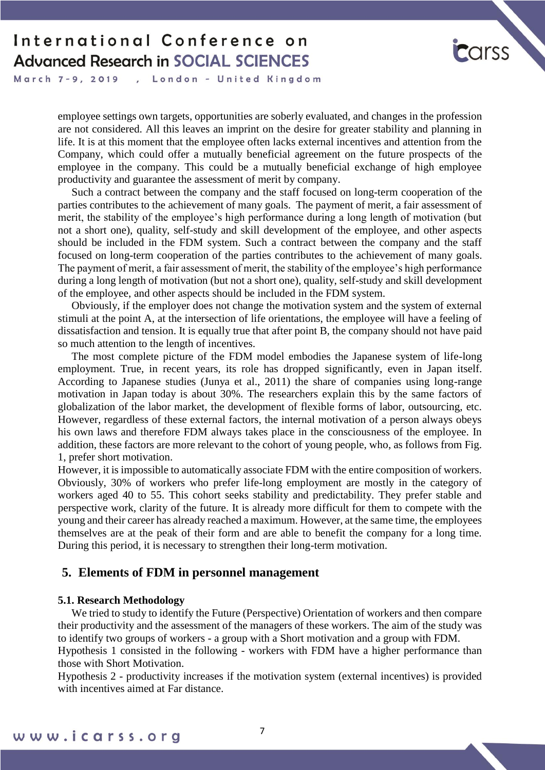

March 7-9, 2019 , London - United Kingdom

> employee settings own targets, opportunities are soberly evaluated, and changes in the profession are not considered. All this leaves an imprint on the desire for greater stability and planning in life. It is at this moment that the employee often lacks external incentives and attention from the Company, which could offer a mutually beneficial agreement on the future prospects of the employee in the company. This could be a mutually beneficial exchange of high employee productivity and guarantee the assessment of merit by company.

> Such a contract between the company and the staff focused on long-term cooperation of the parties contributes to the achievement of many goals. The payment of merit, a fair assessment of merit, the stability of the employee's high performance during a long length of motivation (but not a short one), quality, self-study and skill development of the employee, and other aspects should be included in the FDM system. Such a contract between the company and the staff focused on long-term cooperation of the parties contributes to the achievement of many goals. The payment of merit, a fair assessment of merit, the stability of the employee's high performance during a long length of motivation (but not a short one), quality, self-study and skill development of the employee, and other aspects should be included in the FDM system.

> Obviously, if the employer does not change the motivation system and the system of external stimuli at the point A, at the intersection of life orientations, the employee will have a feeling of dissatisfaction and tension. It is equally true that after point B, the company should not have paid so much attention to the length of incentives.

> The most complete picture of the FDM model embodies the Japanese system of life-long employment. True, in recent years, its role has dropped significantly, even in Japan itself. According to Japanese studies (Junya et al., 2011) the share of companies using long-range motivation in Japan today is about 30%. The researchers explain this by the same factors of globalization of the labor market, the development of flexible forms of labor, outsourcing, etc. However, regardless of these external factors, the internal motivation of a person always obeys his own laws and therefore FDM always takes place in the consciousness of the employee. In addition, these factors are more relevant to the cohort of young people, who, as follows from Fig. 1, prefer short motivation.

> However, it is impossible to automatically associate FDM with the entire composition of workers. Obviously, 30% of workers who prefer life-long employment are mostly in the category of workers aged 40 to 55. This cohort seeks stability and predictability. They prefer stable and perspective work, clarity of the future. It is already more difficult for them to compete with the young and their career has already reached a maximum. However, at the same time, the employees themselves are at the peak of their form and are able to benefit the company for a long time. During this period, it is necessary to strengthen their long-term motivation.

#### **5. Elements of FDM in personnel management**

#### **5.1. Research Methodology**

 We tried to study to identify the Future (Perspective) Orientation of workers and then compare their productivity and the assessment of the managers of these workers. The aim of the study was to identify two groups of workers - a group with a Short motivation and a group with FDM.

Hypothesis 1 consisted in the following - workers with FDM have a higher performance than those with Short Motivation.

Hypothesis 2 - productivity increases if the motivation system (external incentives) is provided with incentives aimed at Far distance.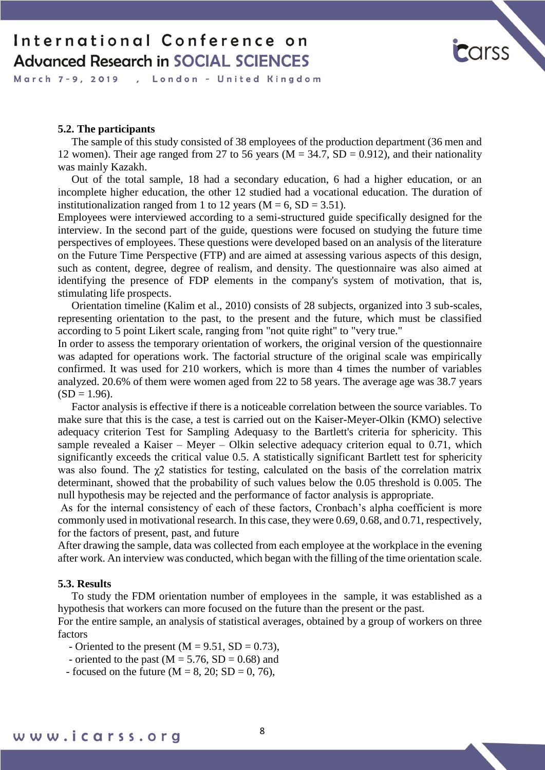

March 7-9, 2019 , London - United Kingdom

#### **5.2. The participants**

 The sample of this study consisted of 38 employees of the production department (36 men and 12 women). Their age ranged from 27 to 56 years ( $M = 34.7$ ,  $SD = 0.912$ ), and their nationality was mainly Kazakh.

 Out of the total sample, 18 had a secondary education, 6 had a higher education, or an incomplete higher education, the other 12 studied had a vocational education. The duration of institutionalization ranged from 1 to 12 years ( $M = 6$ ,  $SD = 3.51$ ).

Employees were interviewed according to a semi-structured guide specifically designed for the interview. In the second part of the guide, questions were focused on studying the future time perspectives of employees. These questions were developed based on an analysis of the literature on the Future Time Perspective (FTP) and are aimed at assessing various aspects of this design, such as content, degree, degree of realism, and density. The questionnaire was also aimed at identifying the presence of FDP elements in the company's system of motivation, that is, stimulating life prospects.

 Orientation timeline (Kalim et al., 2010) consists of 28 subjects, organized into 3 sub-scales, representing orientation to the past, to the present and the future, which must be classified according to 5 point Likert scale, ranging from "not quite right" to "very true."

In order to assess the temporary orientation of workers, the original version of the questionnaire was adapted for operations work. The factorial structure of the original scale was empirically confirmed. It was used for 210 workers, which is more than 4 times the number of variables analyzed. 20.6% of them were women aged from 22 to 58 years. The average age was 38.7 years  $(SD = 1.96)$ .

 Factor analysis is effective if there is a noticeable correlation between the source variables. To make sure that this is the case, a test is carried out on the Kaiser-Meyer-Olkin (KMO) selective adequacy criterion Test for Sampling Adequasy to the Bartlett's criteria for sphericity. This sample revealed a Kaiser – Meyer – Olkin selective adequacy criterion equal to 0.71, which significantly exceeds the critical value 0.5. A statistically significant Bartlett test for sphericity was also found. The  $\chi$ 2 statistics for testing, calculated on the basis of the correlation matrix determinant, showed that the probability of such values below the 0.05 threshold is 0.005. The null hypothesis may be rejected and the performance of factor analysis is appropriate.

As for the internal consistency of each of these factors, Cronbach's alpha coefficient is more commonly used in motivational research. In this case, they were 0.69, 0.68, and 0.71, respectively, for the factors of present, past, and future

After drawing the sample, data was collected from each employee at the workplace in the evening after work. An interview was conducted, which began with the filling of the time orientation scale.

#### **5.3. Results**

 To study the FDM orientation number of employees in the sample, it was established as a hypothesis that workers can more focused on the future than the present or the past.

For the entire sample, an analysis of statistical averages, obtained by a group of workers on three factors

- Oriented to the present  $(M = 9.51, SD = 0.73)$ ,

- oriented to the past  $(M = 5.76, SD = 0.68)$  and
- focused on the future ( $M = 8$ , 20; SD = 0, 76),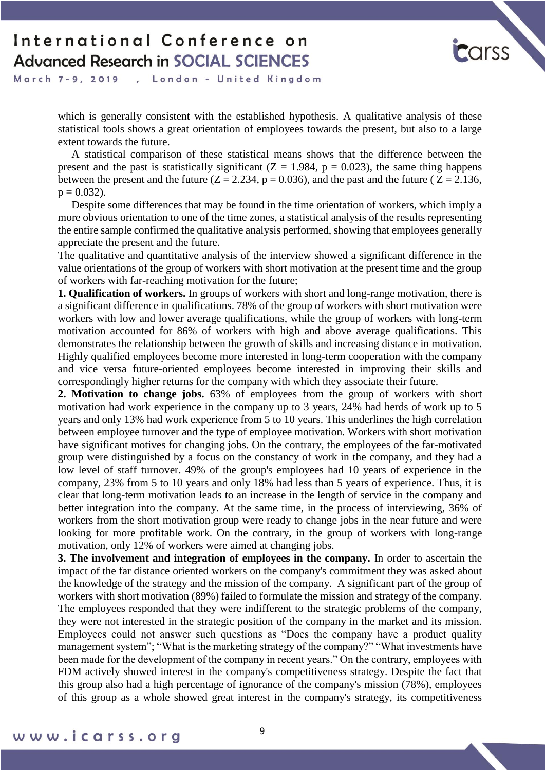

March 7-9, 2019 , London - United Kingdom

> which is generally consistent with the established hypothesis. A qualitative analysis of these statistical tools shows a great orientation of employees towards the present, but also to a large extent towards the future.

> A statistical comparison of these statistical means shows that the difference between the present and the past is statistically significant ( $Z = 1.984$ ,  $p = 0.023$ ), the same thing happens between the present and the future ( $Z = 2.234$ ,  $p = 0.036$ ), and the past and the future ( $Z = 2.136$ ,  $p = 0.032$ ).

> Despite some differences that may be found in the time orientation of workers, which imply a more obvious orientation to one of the time zones, a statistical analysis of the results representing the entire sample confirmed the qualitative analysis performed, showing that employees generally appreciate the present and the future.

> The qualitative and quantitative analysis of the interview showed a significant difference in the value orientations of the group of workers with short motivation at the present time and the group of workers with far-reaching motivation for the future;

> **1. Qualification of workers.** In groups of workers with short and long-range motivation, there is a significant difference in qualifications. 78% of the group of workers with short motivation were workers with low and lower average qualifications, while the group of workers with long-term motivation accounted for 86% of workers with high and above average qualifications. This demonstrates the relationship between the growth of skills and increasing distance in motivation. Highly qualified employees become more interested in long-term cooperation with the company and vice versa future-oriented employees become interested in improving their skills and correspondingly higher returns for the company with which they associate their future.

> **2. Motivation to change jobs.** 63% of employees from the group of workers with short motivation had work experience in the company up to 3 years, 24% had herds of work up to 5 years and only 13% had work experience from 5 to 10 years. This underlines the high correlation between employee turnover and the type of employee motivation. Workers with short motivation have significant motives for changing jobs. On the contrary, the employees of the far-motivated group were distinguished by a focus on the constancy of work in the company, and they had a low level of staff turnover. 49% of the group's employees had 10 years of experience in the company, 23% from 5 to 10 years and only 18% had less than 5 years of experience. Thus, it is clear that long-term motivation leads to an increase in the length of service in the company and better integration into the company. At the same time, in the process of interviewing, 36% of workers from the short motivation group were ready to change jobs in the near future and were looking for more profitable work. On the contrary, in the group of workers with long-range motivation, only 12% of workers were aimed at changing jobs.

> **3. The involvement and integration of employees in the company.** In order to ascertain the impact of the far distance oriented workers on the company's commitment they was asked about the knowledge of the strategy and the mission of the company. A significant part of the group of workers with short motivation (89%) failed to formulate the mission and strategy of the company. The employees responded that they were indifferent to the strategic problems of the company, they were not interested in the strategic position of the company in the market and its mission. Employees could not answer such questions as "Does the company have a product quality management system"; "What is the marketing strategy of the company?" "What investments have been made for the development of the company in recent years." On the contrary, employees with FDM actively showed interest in the company's competitiveness strategy. Despite the fact that this group also had a high percentage of ignorance of the company's mission (78%), employees of this group as a whole showed great interest in the company's strategy, its competitiveness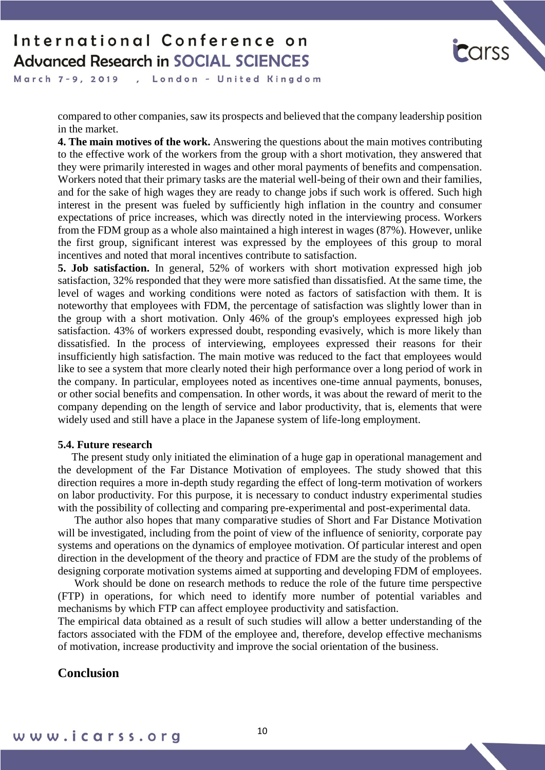

March 7-9, 2019 , London - United Kingdom

> compared to other companies, saw its prospects and believed that the company leadership position in the market.

> **4. The main motives of the work.** Answering the questions about the main motives contributing to the effective work of the workers from the group with a short motivation, they answered that they were primarily interested in wages and other moral payments of benefits and compensation. Workers noted that their primary tasks are the material well-being of their own and their families, and for the sake of high wages they are ready to change jobs if such work is offered. Such high interest in the present was fueled by sufficiently high inflation in the country and consumer expectations of price increases, which was directly noted in the interviewing process. Workers from the FDM group as a whole also maintained a high interest in wages (87%). However, unlike the first group, significant interest was expressed by the employees of this group to moral incentives and noted that moral incentives contribute to satisfaction.

> **5. Job satisfaction.** In general, 52% of workers with short motivation expressed high job satisfaction, 32% responded that they were more satisfied than dissatisfied. At the same time, the level of wages and working conditions were noted as factors of satisfaction with them. It is noteworthy that employees with FDM, the percentage of satisfaction was slightly lower than in the group with a short motivation. Only 46% of the group's employees expressed high job satisfaction. 43% of workers expressed doubt, responding evasively, which is more likely than dissatisfied. In the process of interviewing, employees expressed their reasons for their insufficiently high satisfaction. The main motive was reduced to the fact that employees would like to see a system that more clearly noted their high performance over a long period of work in the company. In particular, employees noted as incentives one-time annual payments, bonuses, or other social benefits and compensation. In other words, it was about the reward of merit to the company depending on the length of service and labor productivity, that is, elements that were widely used and still have a place in the Japanese system of life-long employment.

#### **5.4. Future research**

 The present study only initiated the elimination of a huge gap in operational management and the development of the Far Distance Motivation of employees. The study showed that this direction requires a more in-depth study regarding the effect of long-term motivation of workers on labor productivity. For this purpose, it is necessary to conduct industry experimental studies with the possibility of collecting and comparing pre-experimental and post-experimental data.

 The author also hopes that many comparative studies of Short and Far Distance Motivation will be investigated, including from the point of view of the influence of seniority, corporate pay systems and operations on the dynamics of employee motivation. Of particular interest and open direction in the development of the theory and practice of FDM are the study of the problems of designing corporate motivation systems aimed at supporting and developing FDM of employees.

 Work should be done on research methods to reduce the role of the future time perspective (FTP) in operations, for which need to identify more number of potential variables and mechanisms by which FTP can affect employee productivity and satisfaction.

The empirical data obtained as a result of such studies will allow a better understanding of the factors associated with the FDM of the employee and, therefore, develop effective mechanisms of motivation, increase productivity and improve the social orientation of the business.

### **Conclusion**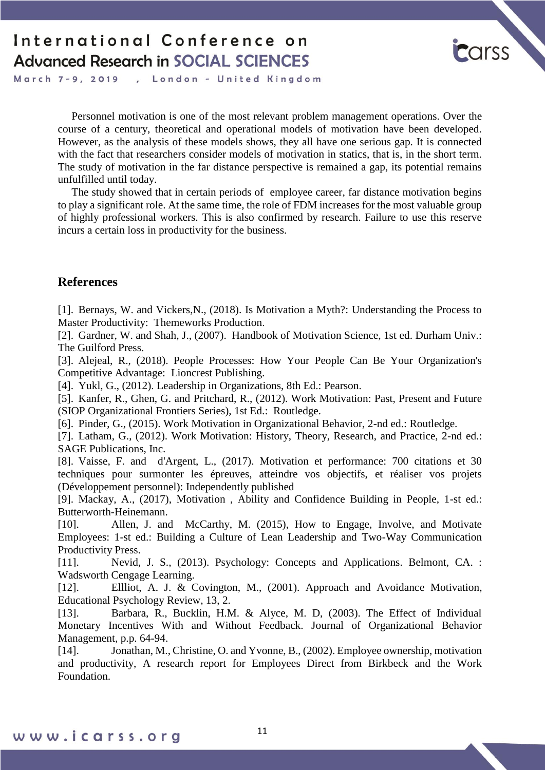

March 7-9, 2019, London - United Kingdom

 Personnel motivation is one of the most relevant problem management operations. Over the course of a century, theoretical and operational models of motivation have been developed. However, as the analysis of these models shows, they all have one serious gap. It is connected with the fact that researchers consider models of motivation in statics, that is, in the short term. The study of motivation in the far distance perspective is remained a gap, its potential remains unfulfilled until today.

 The study showed that in certain periods of employee career, far distance motivation begins to play a significant role. At the same time, the role of FDM increases for the most valuable group of highly professional workers. This is also confirmed by research. Failure to use this reserve incurs a certain loss in productivity for the business.

#### **References**

[1]. Bernays, W. and Vickers,N., (2018). Is Motivation a Myth?: Understanding the Process to Master Productivity: Themeworks Production.

[2]. Gardner, W. and Shah, J., (2007). Handbook of Motivation Science, 1st ed. Durham Univ.: The Guilford Press.

[3]. Alejeal, R., (2018). People Processes: How Your People Can Be Your Organization's Competitive Advantage: Lioncrest Publishing.

[4]. Yukl, G., (2012). Leadership in Organizations, 8th Ed.: Pearson.

[5]. Kanfer, R., Ghen, G. and Pritchard, R., (2012). Work Motivation: Past, Present and Future (SIOP Organizational Frontiers Series), 1st Ed.: Routledge.

[6]. Pinder, G., (2015). Work Motivation in Organizational Behavior, 2-nd ed.: Routledge.

[7]. Latham, G., (2012). Work Motivation: History, Theory, Research, and Practice, 2-nd ed.: SAGE Publications, Inc.

[8]. Vaisse, F. and d'Argent, L., (2017). Motivation et performance: 700 citations et 30 techniques pour surmonter les épreuves, atteindre vos objectifs, et réaliser vos projets (Développement personnel): Independently published

[9]. Mackay, A., (2017), Motivation , Ability and Confidence Building in People, 1-st ed.: Butterworth-Heinemann.

[10]. Allen, J. and McCarthy, M. (2015), How to Engage, Involve, and Motivate Employees: 1-st ed.: Building a Culture of Lean Leadership and Two-Way Communication Productivity Press.

[11]. Nevid, J. S., (2013). Psychology: Concepts and Applications. Belmont, CA. : Wadsworth Cengage Learning.

[12]. Ellliot, A. J. & Covington, M., (2001). Approach and Avoidance Motivation, Educational Psychology Review, 13, 2.

[13]. Barbara, R., Bucklin, H.M. & Alyce, M. D, (2003). The Effect of Individual Monetary Incentives With and Without Feedback. Journal of Organizational Behavior Management, p.p. 64-94.

[14]. Jonathan, M., Christine, O. and Yvonne, B., (2002). Employee ownership, motivation and productivity, A research report for Employees Direct from Birkbeck and the Work Foundation.